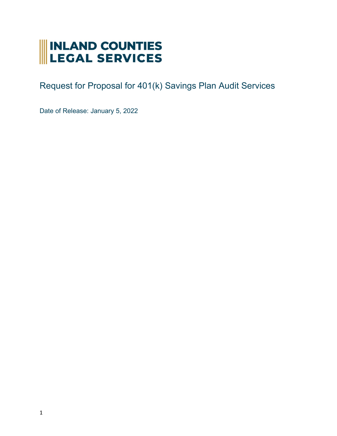# INLAND COUNTIES<br>LEGAL SERVICES

Request for Proposal for 401(k) Savings Plan Audit Services

Date of Release: January 5, 2022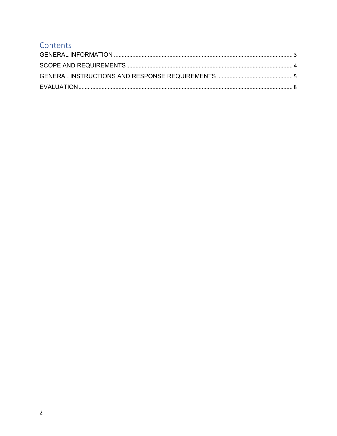## Contents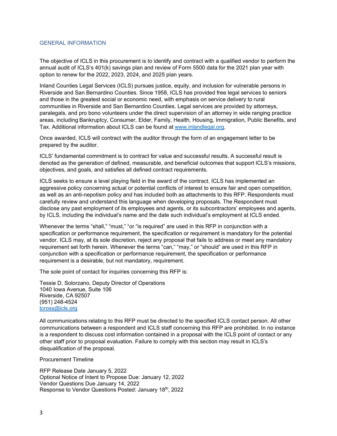#### <span id="page-2-0"></span>GENERAL INFORMATION

The objective of ICLS in this procurement is to identify and contract with a qualified vendor to perform the annual audit of ICLS's 401(k) savings plan and review of Form 5500 data for the 2021 plan year with option to renew for the 2022, 2023, 2024, and 2025 plan years.

Inland Counties Legal Services (ICLS) pursues justice, equity, and inclusion for vulnerable persons in Riverside and San Bernardino Counties. Since 1958, ICLS has provided free legal services to seniors and those in the greatest social or economic need, with emphasis on service delivery to rural communities in Riverside and San Bernardino Counties. Legal services are provided by attorneys, paralegals, and pro bono volunteers under the direct supervision of an attorney in wide ranging practice areas, including Bankruptcy, Consumer, Elder, Family, Health, Housing, Immigration, Public Benefits, and Tax. Additional information about ICLS can be found a[t www.inlandlegal.org.](http://www.inlandlegal.org/)

Once awarded, ICLS will contract with the auditor through the form of an engagement letter to be prepared by the auditor.

ICLS' fundamental commitment is to contract for value and successful results. A successful result is denoted as the generation of defined, measurable, and beneficial outcomes that support ICLS's missions, objectives, and goals, and satisfies all defined contract requirements.

ICLS seeks to ensure a level playing field in the award of the contract. ICLS has implemented an aggressive policy concerning actual or potential conflicts of interest to ensure fair and open competition, as well as an anti-nepotism policy and has included both as attachments to this RFP. Respondents must carefully review and understand this language when developing proposals. The Respondent must disclose any past employment of its employees and agents, or its subcontractors' employees and agents, by ICLS, including the individual's name and the date such individual's employment at ICLS ended.

Whenever the terms "shall," "must," "or "is required" are used in this RFP in conjunction with a specification or performance requirement, the specification or requirement is mandatory for the potential vendor. ICLS may, at its sole discretion, reject any proposal that fails to address or meet any mandatory requirement set forth herein. Whenever the terms "can," "may," or "should" are used in this RFP in conjunction with a specification or performance requirement, the specification or performance requirement is a desirable, but not mandatory, requirement.

The sole point of contact for inquiries concerning this RFP is:

Tessie D. Solorzano, Deputy Director of Operations 1040 Iowa Avenue, Suite 106 Riverside, CA 92507 (951) 248-4524 [tcross@icls.org](mailto:tcross@icls.org)

All communications relating to this RFP must be directed to the specified ICLS contact person. All other communications between a respondent and ICLS staff concerning this RFP are prohibited. In no instance is a respondent to discuss cost information contained in a proposal with the ICLS point of contact or any other staff prior to proposal evaluation. Failure to comply with this section may result in ICLS's disqualification of the proposal.

Procurement Timeline

RFP Release Date January 5, 2022 Optional Notice of Intent to Propose Due: January 12, 2022 Vendor Questions Due January 14, 2022 Response to Vendor Questions Posted: January 18th, 2022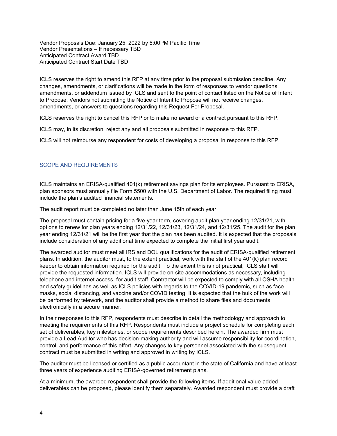Vendor Proposals Due: January 25, 2022 by 5:00PM Pacific Time Vendor Presentations – If necessary TBD Anticipated Contract Award TBD Anticipated Contract Start Date TBD

ICLS reserves the right to amend this RFP at any time prior to the proposal submission deadline. Any changes, amendments, or clarifications will be made in the form of responses to vendor questions, amendments, or addendum issued by ICLS and sent to the point of contact listed on the Notice of Intent to Propose. Vendors not submitting the Notice of Intent to Propose will not receive changes, amendments, or answers to questions regarding this Request For Proposal.

ICLS reserves the right to cancel this RFP or to make no award of a contract pursuant to this RFP.

ICLS may, in its discretion, reject any and all proposals submitted in response to this RFP.

ICLS will not reimburse any respondent for costs of developing a proposal in response to this RFP.

### <span id="page-3-0"></span>SCOPE AND REQUIREMENTS

ICLS maintains an ERISA-qualified 401(k) retirement savings plan for its employees. Pursuant to ERISA, plan sponsors must annually file Form 5500 with the U.S. Department of Labor. The required filing must include the plan's audited financial statements.

The audit report must be completed no later than June 15th of each year.

The proposal must contain pricing for a five-year term, covering audit plan year ending 12/31/21, with options to renew for plan years ending 12/31/22, 12/31/23, 12/31/24, and 12/31/25. The audit for the plan year ending 12/31/21 will be the first year that the plan has been audited. It is expected that the proposals include consideration of any additional time expected to complete the initial first year audit.

The awarded auditor must meet all IRS and DOL qualifications for the audit of ERISA-qualified retirement plans. In addition, the auditor must, to the extent practical, work with the staff of the 401(k) plan record keeper to obtain information required for the audit. To the extent this is not practical; ICLS staff will provide the requested information. ICLS will provide on-site accommodations as necessary, including telephone and internet access, for audit staff. Contractor will be expected to comply with all OSHA health and safety guidelines as well as ICLS policies with regards to the COVID-19 pandemic, such as face masks, social distancing, and vaccine and/or COVID testing. It is expected that the bulk of the work will be performed by telework, and the auditor shall provide a method to share files and documents electronically in a secure manner.

In their responses to this RFP, respondents must describe in detail the methodology and approach to meeting the requirements of this RFP. Respondents must include a project schedule for completing each set of deliverables, key milestones, or scope requirements described herein. The awarded firm must provide a Lead Auditor who has decision-making authority and will assume responsibility for coordination, control, and performance of this effort. Any changes to key personnel associated with the subsequent contract must be submitted in writing and approved in writing by ICLS.

The auditor must be licensed or certified as a public accountant in the state of California and have at least three years of experience auditing ERISA-governed retirement plans.

At a minimum, the awarded respondent shall provide the following items. If additional value-added deliverables can be proposed, please identify them separately. Awarded respondent must provide a draft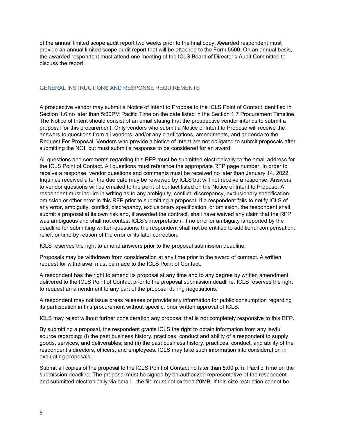of the annual limited scope audit report two weeks prior to the final copy. Awarded respondent must provide an annual limited scope audit report that will be attached to the Form 5500. On an annual basis, the awarded respondent must attend one meeting of the ICLS Board of Director's Audit Committee to discuss the report.

#### <span id="page-4-0"></span>GENERAL INSTRUCTIONS AND RESPONSE REQUIREMENTS

A prospective vendor may submit a Notice of Intent to Propose to the ICLS Point of Contact identified in Section 1.6 no later than 5:00PM Pacific Time on the date listed in the Section 1.7 Procurement Timeline. The Notice of Intent should consist of an email stating that the prospective vendor intends to submit a proposal for this procurement. Only vendors who submit a Notice of Intent to Propose will receive the answers to questions from all vendors, and/or any clarifications, amendments, and addenda to the Request For Proposal. Vendors who provide a Notice of Intent are not obligated to submit proposals after submitting the NOI, but must submit a response to be considered for an award.

All questions and comments regarding this RFP must be submitted electronically to the email address for the ICLS Point of Contact. All questions must reference the appropriate RFP page number. In order to receive a response, vendor questions and comments must be received no later than January 14, 2022. Inquiries received after the due date may be reviewed by ICLS but will not receive a response. Answers to vendor questions will be emailed to the point of contact listed on the Notice of Intent to Propose. A respondent must inquire in writing as to any ambiguity, conflict, discrepancy, exclusionary specification, omission or other error in this RFP prior to submitting a proposal. If a respondent fails to notify ICLS of any error, ambiguity, conflict, discrepancy, exclusionary specification, or omission, the respondent shall submit a proposal at its own risk and, if awarded the contract, shall have waived any claim that the RFP was ambiguous and shall not contest ICLS's interpretation. If no error or ambiguity is reported by the deadline for submitting written questions, the respondent shall not be entitled to additional compensation, relief, or time by reason of the error or its later correction.

ICLS reserves the right to amend answers prior to the proposal submission deadline.

Proposals may be withdrawn from consideration at any time prior to the award of contract. A written request for withdrawal must be made to the ICLS Point of Contact.

A respondent has the right to amend its proposal at any time and to any degree by written amendment delivered to the ICLS Point of Contact prior to the proposal submission deadline. ICLS reserves the right to request an amendment to any part of the proposal during negotiations.

A respondent may not issue press releases or provide any information for public consumption regarding its participation in this procurement without specific, prior written approval of ICLS.

ICLS may reject without further consideration any proposal that is not completely responsive to this RFP.

By submitting a proposal, the respondent grants ICLS the right to obtain information from any lawful source regarding: (i) the past business history, practices, conduct and ability of a respondent to supply goods, services, and deliverables; and (ii) the past business history, practices, conduct, and ability of the respondent's directors, officers, and employees. ICLS may take such information into consideration in evaluating proposals.

Submit all copies of the proposal to the ICLS Point of Contact no later than 5:00 p.m. Pacific Time on the submission deadline. The proposal must be signed by an authorized representative of the respondent and submitted electronically via email—the file must not exceed 20MB. If this size restriction cannot be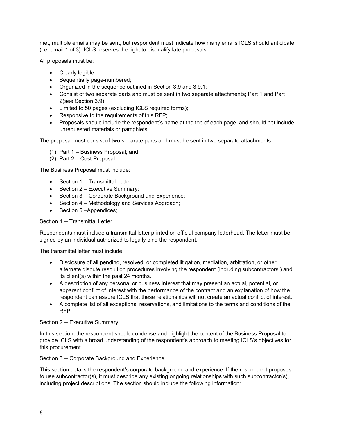met, multiple emails may be sent, but respondent must indicate how many emails ICLS should anticipate (i.e. email 1 of 3). ICLS reserves the right to disqualify late proposals.

All proposals must be:

- Clearly legible;
- Sequentially page-numbered;
- Organized in the sequence outlined in Section 3.9 and 3.9.1;
- Consist of two separate parts and must be sent in two separate attachments; Part 1 and Part 2(see Section 3.9)
- Limited to 50 pages (excluding ICLS required forms);
- Responsive to the requirements of this RFP;
- Proposals should include the respondent's name at the top of each page, and should not include unrequested materials or pamphlets.

The proposal must consist of two separate parts and must be sent in two separate attachments:

- (1) Part 1 Business Proposal; and
- (2) Part 2 Cost Proposal.

The Business Proposal must include:

- Section 1 Transmittal Letter;
- Section 2 Executive Summary:
- Section 3 Corporate Background and Experience;
- Section 4 Methodology and Services Approach;
- Section 5-Appendices;

#### Section 1 -- Transmittal Letter

Respondents must include a transmittal letter printed on official company letterhead. The letter must be signed by an individual authorized to legally bind the respondent.

The transmittal letter must include:

- Disclosure of all pending, resolved, or completed litigation, mediation, arbitration, or other alternate dispute resolution procedures involving the respondent (including subcontractors,) and its client(s) within the past 24 months.
- A description of any personal or business interest that may present an actual, potential, or apparent conflict of interest with the performance of the contract and an explanation of how the respondent can assure ICLS that these relationships will not create an actual conflict of interest.
- A complete list of all exceptions, reservations, and limitations to the terms and conditions of the RFP.

#### Section 2 -- Executive Summary

In this section, the respondent should condense and highlight the content of the Business Proposal to provide ICLS with a broad understanding of the respondent's approach to meeting ICLS's objectives for this procurement.

Section 3 -- Corporate Background and Experience

This section details the respondent's corporate background and experience. If the respondent proposes to use subcontractor(s), it must describe any existing ongoing relationships with such subcontractor(s), including project descriptions. The section should include the following information: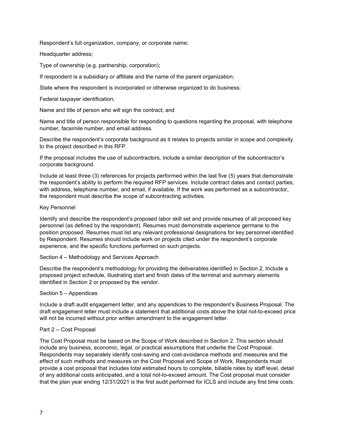Respondent's full organization, company, or corporate name;

Headquarter address;

Type of ownership (e.g. partnership, corporation);

If respondent is a subsidiary or affiliate and the name of the parent organization;

State where the respondent is incorporated or otherwise organized to do business;

Federal taxpayer identification;

Name and title of person who will sign the contract; and

Name and title of person responsible for responding to questions regarding the proposal, with telephone number, facsimile number, and email address.

Describe the respondent's corporate background as it relates to projects similar in scope and complexity to the project described in this RFP.

If the proposal includes the use of subcontractors, include a similar description of the subcontractor's corporate background.

Include at least three (3) references for projects performed within the last five (5) years that demonstrate the respondent's ability to perform the required RFP services. Include contract dates and contact parties, with address, telephone number, and email, if available. If the work was performed as a subcontractor, the respondent must describe the scope of subcontracting activities.

#### Key Personnel

Identify and describe the respondent's proposed labor skill set and provide resumes of all proposed key personnel (as defined by the respondent). Resumes must demonstrate experience germane to the position proposed. Resumes must list any relevant professional designations for key personnel identified by Respondent. Resumes should include work on projects cited under the respondent's corporate experience, and the specific functions performed on such projects.

#### Section 4 – Methodology and Services Approach

Describe the respondent's methodology for providing the deliverables identified in Section 2. Include a proposed project schedule, illustrating start and finish dates of the terminal and summary elements identified in Section 2 or proposed by the vendor.

#### Section 5 – Appendices

Include a draft audit engagement letter, and any appendices to the respondent's Business Proposal. The draft engagement letter must include a statement that additional costs above the total not-to-exceed price will not be incurred without prior written amendment to the engagement letter.

#### Part 2 -- Cost Proposal

The Cost Proposal must be based on the Scope of Work described in Section 2. This section should include any business, economic, legal, or practical assumptions that underlie the Cost Proposal. Respondents may separately identify cost-saving and cost-avoidance methods and measures and the effect of such methods and measures on the Cost Proposal and Scope of Work. Respondents must provide a cost proposal that includes total estimated hours to complete, billable rates by staff level, detail of any additional costs anticipated, and a total not-to-exceed amount. The Cost proposal must consider that the plan year ending 12/31/2021 is the first audit performed for ICLS and include any first time costs.